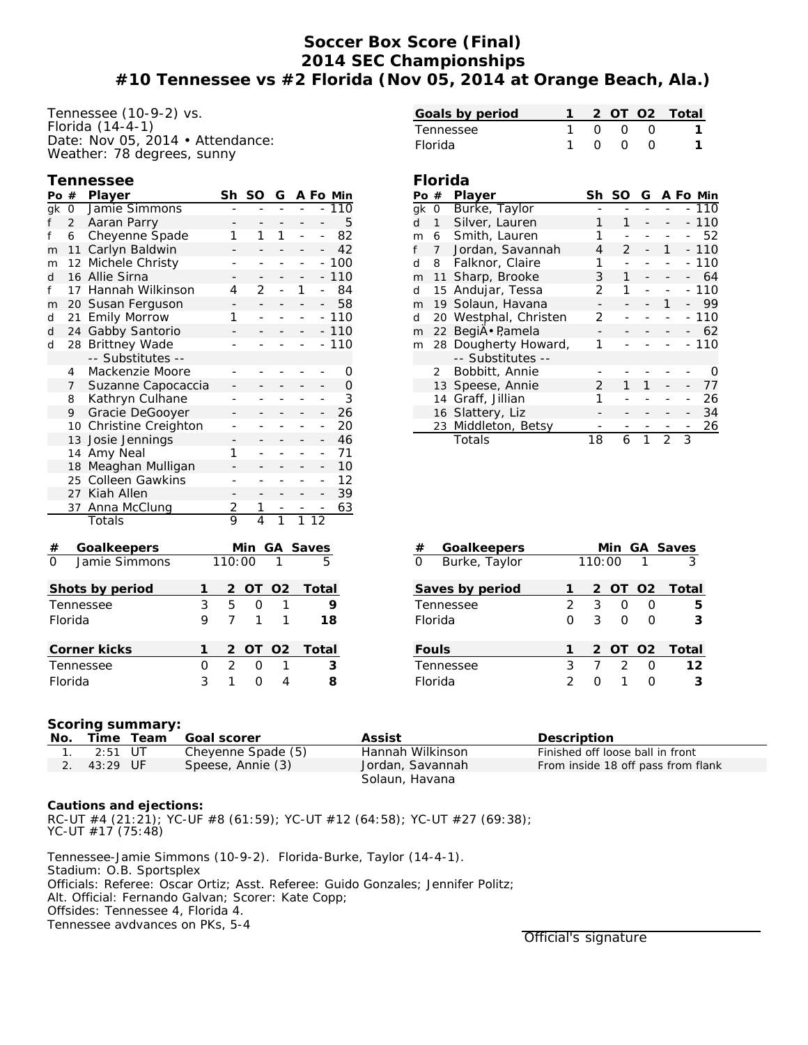## **Soccer Box Score (Final) 2014 SEC Championships #10 Tennessee vs #2 Florida (Nov 05, 2014 at Orange Beach, Ala.)**

Tennessee (10-9-2) vs. Florida (14-4-1) Date: Nov 05, 2014 • Attendance: Weather: 78 degrees, sunny

| <b>Tennessee</b> |
|------------------|
|------------------|

| Po               | $\#$           | Player                 |    | Sh             | SO                       | G                        |                |                          | A Fo Min |
|------------------|----------------|------------------------|----|----------------|--------------------------|--------------------------|----------------|--------------------------|----------|
| $g_{\mathsf{K}}$ | 0              | Jamie Simmons          |    |                |                          |                          |                |                          | 110      |
| f                | $\overline{2}$ | Aaran Parry            |    |                |                          |                          | ÷              | 5                        |          |
| f                | 6              | Cheyenne Spade         | 1  | 1              | 1                        | L,                       | $\overline{a}$ | 82                       |          |
| m                | 11             | Carlyn Baldwin         |    |                | -                        |                          |                | 42                       |          |
| m                | 12             | Michele Christy        | L, | $\overline{a}$ | $\overline{a}$           | ÷,                       | $\overline{a}$ | 100                      |          |
| d                | 16             | Allie Sirna            |    | -              | -                        | -                        | -              |                          | 110      |
| f                | 17             | Hannah Wilkinson       |    | 4              | 2                        | $\overline{a}$           | 1              | $\overline{a}$           | 84       |
| m                | 20             | Susan Ferguson         |    |                | $\overline{\phantom{0}}$ | $\overline{\phantom{0}}$ |                |                          | 58       |
| d                | 21             | <b>Emily Morrow</b>    |    | 1              | $\overline{a}$           | L,                       | ÷,             | $\overline{a}$           | 110      |
| d                | 24             | Gabby Santorio         |    |                |                          |                          |                |                          | 110      |
| d                | 28             | <b>Brittney Wade</b>   |    | -              | -                        | ÷,                       | $\overline{a}$ | $\overline{\phantom{0}}$ | 110      |
|                  |                | -- Substitutes --      |    |                |                          |                          |                |                          |          |
|                  | 4              | Mackenzie Moore        |    | -              | -                        | -                        | ۰              | -                        | 0        |
|                  | $\overline{7}$ | Suzanne Capocaccia     |    |                |                          |                          |                | -                        | 0        |
|                  | 8              | Kathryn Culhane        |    |                |                          | $\overline{a}$           | L,             | ÷,                       | 3        |
|                  | 9              | Gracie DeGooyer        |    |                |                          |                          |                |                          | 26       |
|                  | 10             | Christine Creighton    |    | -              |                          | $\overline{a}$           |                | ÷,                       | 20       |
|                  | 13             | Josie Jennings         |    |                |                          |                          |                |                          | 46       |
|                  | 14             | Amy Neal               |    | 1              |                          |                          |                | $\overline{a}$           | 71       |
|                  | 18             | Meaghan Mulligan       |    |                |                          |                          |                |                          | 10       |
|                  | 25             | <b>Colleen Gawkins</b> |    | $\overline{a}$ |                          |                          |                | $\overline{a}$           | 12       |
|                  | 27             | Kiah Allen             |    |                |                          |                          |                | $\overline{a}$           | 39       |
|                  | 37             | Anna McClung           |    | $\frac{2}{9}$  | <u>1</u>                 |                          |                |                          | 63       |
|                  |                | Totals                 |    |                |                          | $\overline{1}$           |                | $\overline{12}$          |          |
| $\#$             |                | Goalkeepers            |    |                | Min                      | GА                       |                | $\frac{\text{Saves}}{5}$ |          |
| $\Omega$         |                | Jamie Simmons          |    | 110:00         |                          | 1                        |                |                          |          |
|                  |                | Shots by period        | 1  | $\overline{c}$ | ОT                       | O <sub>2</sub>           |                | Total                    |          |
| 3<br>Tennessee   |                |                        | 5  | 0              | 1                        |                          |                | 9                        |          |
|                  | Florida        |                        | 9  | 7              | 1                        | 1                        |                |                          | 18       |
|                  |                |                        | 1  | $\overline{c}$ | ОT                       | O <sub>2</sub>           |                | Total                    |          |
|                  | Corner kicks   |                        |    | $\overline{2}$ |                          | 1                        |                |                          |          |
| 0<br>Tennessee   |                |                        |    |                | $\mathbf 0$              |                          |                |                          | 3        |
| 3<br>Florida     |                |                        |    | 1              | 0                        | 4                        |                |                          | 8        |

| Goals by period |  |                     | 2 OT 02 Total |
|-----------------|--|---------------------|---------------|
| Tennessee       |  | <u>ດ ດ ເ</u>        |               |
| <b>Florida</b>  |  | $0 \quad 0 \quad 0$ |               |

## **Florida**

| Po | #                    | Player             | Sh | SO | G |               |   | A Fo Min |
|----|----------------------|--------------------|----|----|---|---------------|---|----------|
| ak | 0                    | Burke, Taylor      |    |    |   |               |   | 110      |
| d  | 1                    | Silver, Lauren     |    | 1  |   |               |   | 110      |
| m  | 6                    | Smith, Lauren      |    |    |   |               |   | 52       |
| f  | 7                    | Jordan, Savannah   | 4  | 2  |   | 1             |   | $-110$   |
| d  | Falknor, Claire<br>8 |                    |    |    |   |               |   | 110      |
| m  | 11                   | Sharp, Brooke      | 3  | 1  |   |               |   | 64       |
| d  | Andujar, Tessa<br>15 |                    | 2  |    |   |               |   | 110      |
| m  | 19 Solaun, Havana    |                    |    |    |   |               |   | 99       |
| d  | 20                   | Westphal, Christen |    |    |   |               |   | 110      |
| m  | 22                   | BegiÄ · Pamela     |    |    |   |               |   | 62       |
| m  | 28 Dougherty Howard, |                    |    |    |   |               |   | - 110    |
|    |                      | -- Substitutes --  |    |    |   |               |   |          |
|    | 2                    | Bobbitt, Annie     |    |    |   |               |   |          |
|    | 13                   | Speese, Annie      | 2  |    |   |               |   | 77       |
|    | 14                   | Graff, Jillian     |    |    |   |               |   | 26       |
|    | 16                   | Slattery, Liz      |    |    |   |               |   | 34       |
|    | 23                   | Middleton, Betsy   |    |    |   |               |   | 26       |
|    |                      | Totals             | 18 | 6  | 1 | $\mathcal{P}$ | 3 |          |

| #<br>Goalkeepers          |   |        |               |              | Min GA Saves  |
|---------------------------|---|--------|---------------|--------------|---------------|
| $\Omega$<br>Burke, Taylor |   | 110:00 |               | $\mathbf{1}$ |               |
| Saves by period           |   |        |               |              | 2 OT O2 Total |
| Tennessee                 | 2 | 3      | Ω             | O            | 5             |
| Florida                   | Ω | 3      | O             | ∩            | 3             |
| Fouls                     |   |        | 2 OT 02       |              | Total         |
| Tennessee                 | 3 |        | $\mathcal{D}$ | O            | 12            |
| Florida                   |   |        |               |              | 3             |

## **Scoring summary:**

| No. |               | Time Team | Goal scorer        | Assist           | <b>Description</b>                 |
|-----|---------------|-----------|--------------------|------------------|------------------------------------|
|     | $2:51$ UT     |           | Cheyenne Spade (5) | Hannah Wilkinson | Finished off loose ball in front   |
|     | 2. $43:29$ UF |           | Speese, Annie (3)  | Jordan, Savannah | From inside 18 off pass from flank |
|     |               |           |                    | Solaun, Havana   |                                    |

**Cautions and ejections:** RC-UT #4 (21:21); YC-UF #8 (61:59); YC-UT #12 (64:58); YC-UT #27 (69:38); YC-UT #17 (75:48)

Tennessee-Jamie Simmons (10-9-2). Florida-Burke, Taylor (14-4-1). Stadium: O.B. Sportsplex Officials: Referee: Oscar Ortiz; Asst. Referee: Guido Gonzales; Jennifer Politz; Alt. Official: Fernando Galvan; Scorer: Kate Copp; Offsides: Tennessee 4, Florida 4. Tennessee avdvances on PKs, 5-4